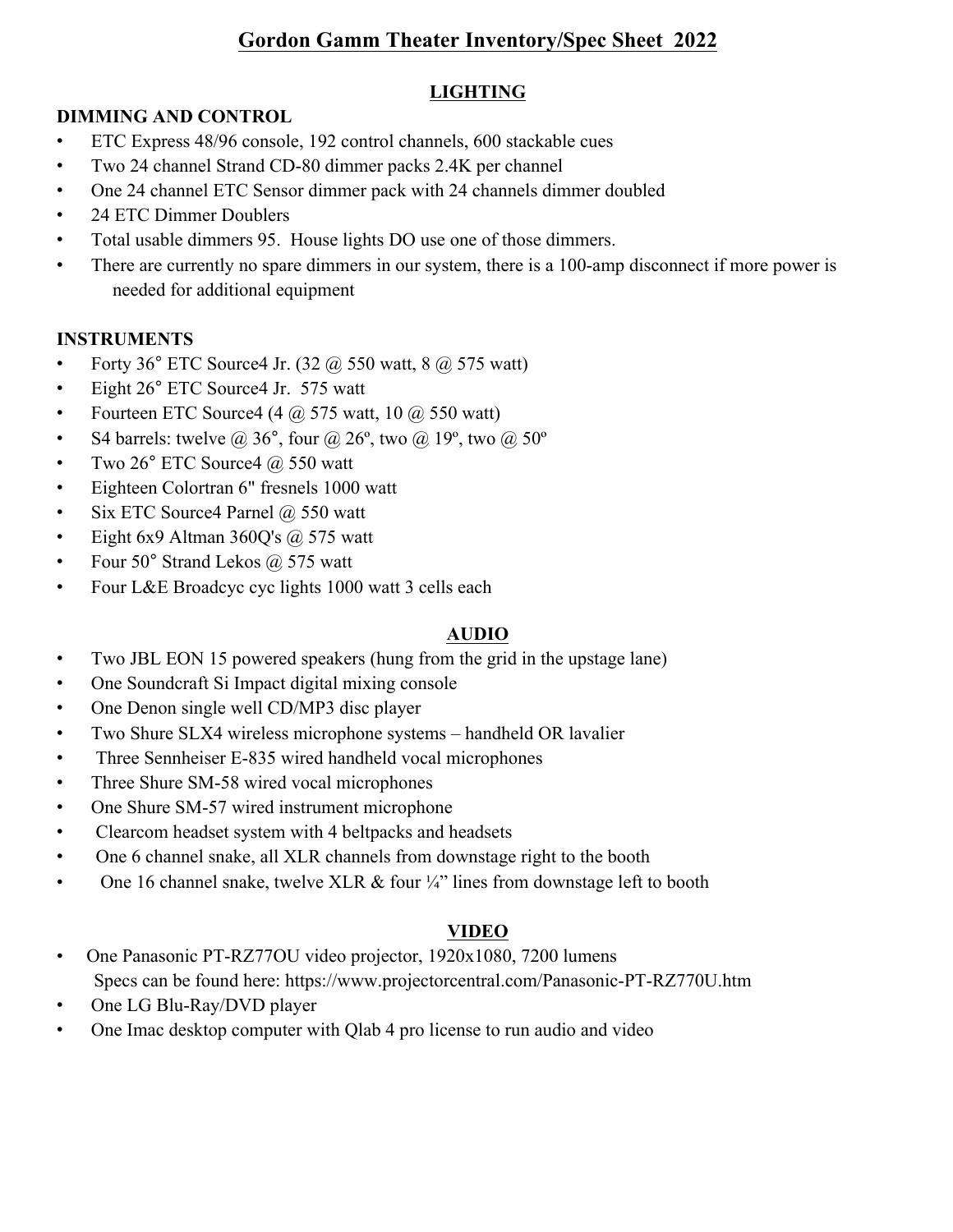# **Gordon Gamm Theater Inventory/Spec Sheet 2022**

# **LIGHTING**

## **DIMMING AND CONTROL**

- ETC Express 48/96 console, 192 control channels, 600 stackable cues
- Two 24 channel Strand CD-80 dimmer packs 2.4K per channel
- One 24 channel ETC Sensor dimmer pack with 24 channels dimmer doubled
- 24 ETC Dimmer Doublers
- Total usable dimmers 95. House lights DO use one of those dimmers.
- There are currently no spare dimmers in our system, there is a 100-amp disconnect if more power is needed for additional equipment

## **INSTRUMENTS**

- Forty 36 $\degree$  ETC Source 4 Jr. (32  $\omega$  550 watt, 8  $\omega$  575 watt)
- Eight 26° ETC Source4 Jr. 575 watt
- Fourteen ETC Source 4 (4  $\omega$  575 watt, 10  $\omega$  550 watt)
- S4 barrels: twelve @ 36°, four @ 26°, two @ 19°, two @ 50°
- Two  $26^{\circ}$  ETC Source 4  $(a)$  550 watt
- Eighteen Colortran 6" fresnels 1000 watt
- Six ETC Source4 Parnel  $\omega$  550 watt
- Eight 6x9 Altman 360Q's  $\omega$  575 watt
- Four  $50^{\circ}$  Strand Lekos  $\omega$  575 watt
- Four L&E Broadcyc cyc lights 1000 watt 3 cells each

#### **AUDIO**

- Two JBL EON 15 powered speakers (hung from the grid in the upstage lane)
- One Soundcraft Si Impact digital mixing console
- One Denon single well CD/MP3 disc player
- Two Shure SLX4 wireless microphone systems handheld OR lavalier
- Three Sennheiser E-835 wired handheld vocal microphones
- Three Shure SM-58 wired vocal microphones
- One Shure SM-57 wired instrument microphone
- Clearcom headset system with 4 beltpacks and headsets
- One 6 channel snake, all XLR channels from downstage right to the booth
- One 16 channel snake, twelve XLR  $&$  four  $\frac{1}{4}$ " lines from downstage left to booth

# **VIDEO**

- One Panasonic PT-RZ77OU video projector, 1920x1080, 7200 lumens Specs can be found here: https://www.projectorcentral.com/Panasonic-PT-RZ770U.htm
- One LG Blu-Ray/DVD player
- One Imac desktop computer with Qlab 4 pro license to run audio and video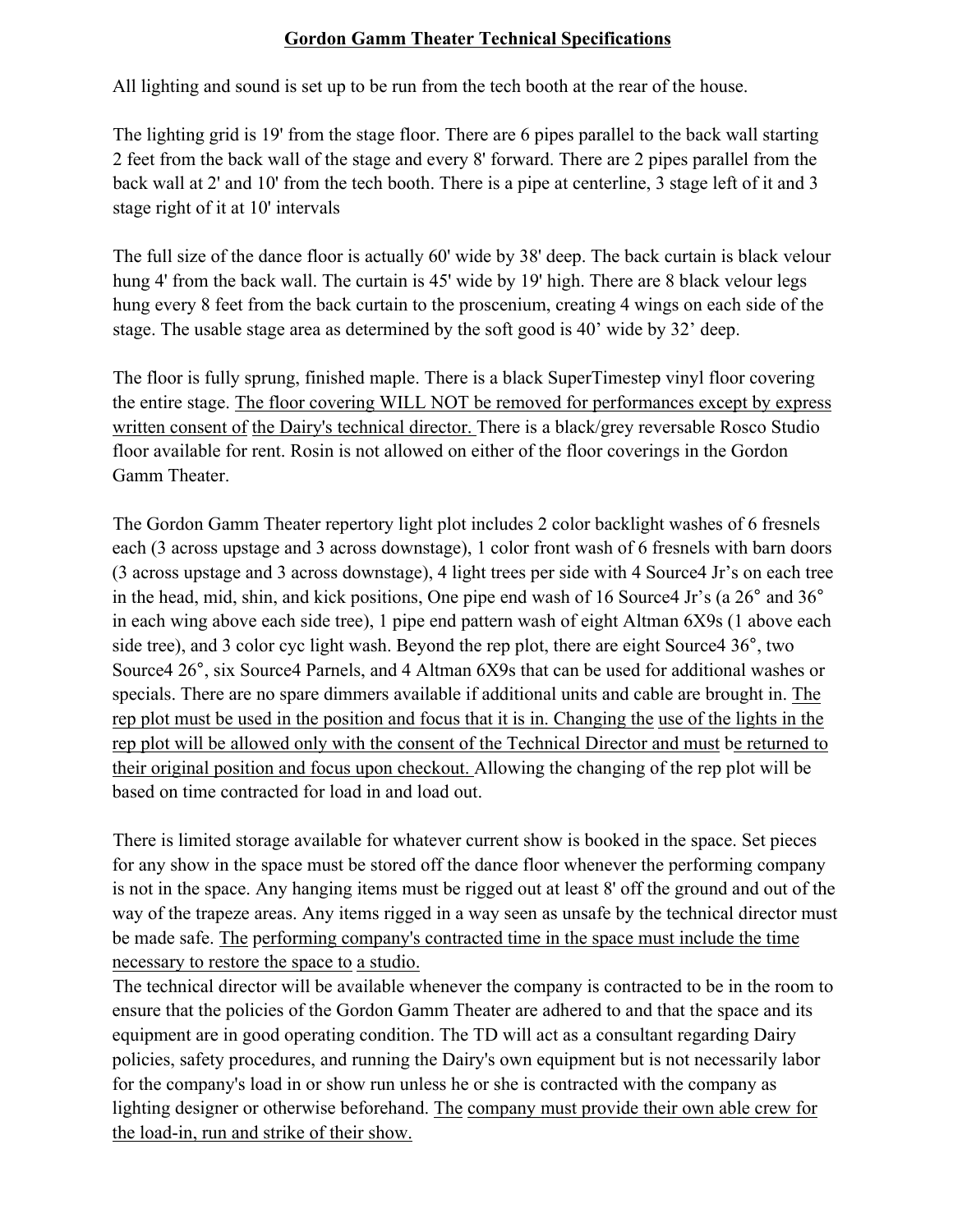#### **Gordon Gamm Theater Technical Specifications**

All lighting and sound is set up to be run from the tech booth at the rear of the house.

The lighting grid is 19' from the stage floor. There are 6 pipes parallel to the back wall starting 2 feet from the back wall of the stage and every 8' forward. There are 2 pipes parallel from the back wall at 2' and 10' from the tech booth. There is a pipe at centerline, 3 stage left of it and 3 stage right of it at 10' intervals

The full size of the dance floor is actually 60' wide by 38' deep. The back curtain is black velour hung 4' from the back wall. The curtain is 45' wide by 19' high. There are 8 black velour legs hung every 8 feet from the back curtain to the proscenium, creating 4 wings on each side of the stage. The usable stage area as determined by the soft good is 40' wide by 32' deep.

The floor is fully sprung, finished maple. There is a black SuperTimestep vinyl floor covering the entire stage. The floor covering WILL NOT be removed for performances except by express written consent of the Dairy's technical director. There is a black/grey reversable Rosco Studio floor available for rent. Rosin is not allowed on either of the floor coverings in the Gordon Gamm Theater.

The Gordon Gamm Theater repertory light plot includes 2 color backlight washes of 6 fresnels each (3 across upstage and 3 across downstage), 1 color front wash of 6 fresnels with barn doors (3 across upstage and 3 across downstage), 4 light trees per side with 4 Source4 Jr's on each tree in the head, mid, shin, and kick positions, One pipe end wash of 16 Source4 Jr's (a 26° and 36° in each wing above each side tree), 1 pipe end pattern wash of eight Altman 6X9s (1 above each side tree), and 3 color cyc light wash. Beyond the rep plot, there are eight Source4 36°, two Source4 26°, six Source4 Parnels, and 4 Altman 6X9s that can be used for additional washes or specials. There are no spare dimmers available if additional units and cable are brought in. The rep plot must be used in the position and focus that it is in. Changing the use of the lights in the rep plot will be allowed only with the consent of the Technical Director and must be returned to their original position and focus upon checkout. Allowing the changing of the rep plot will be based on time contracted for load in and load out.

There is limited storage available for whatever current show is booked in the space. Set pieces for any show in the space must be stored off the dance floor whenever the performing company is not in the space. Any hanging items must be rigged out at least 8' off the ground and out of the way of the trapeze areas. Any items rigged in a way seen as unsafe by the technical director must be made safe. The performing company's contracted time in the space must include the time necessary to restore the space to a studio.

The technical director will be available whenever the company is contracted to be in the room to ensure that the policies of the Gordon Gamm Theater are adhered to and that the space and its equipment are in good operating condition. The TD will act as a consultant regarding Dairy policies, safety procedures, and running the Dairy's own equipment but is not necessarily labor for the company's load in or show run unless he or she is contracted with the company as lighting designer or otherwise beforehand. The company must provide their own able crew for the load-in, run and strike of their show.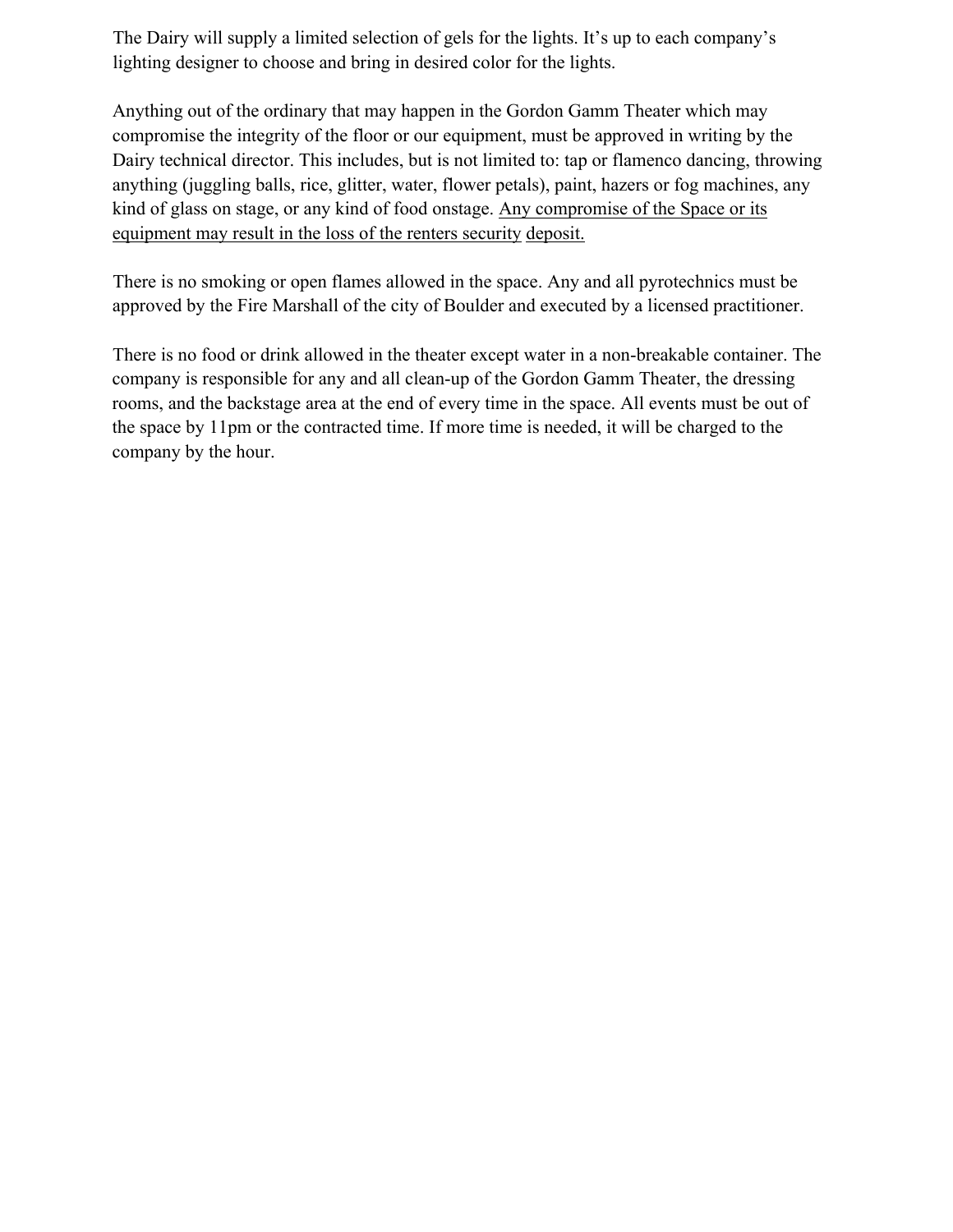The Dairy will supply a limited selection of gels for the lights. It's up to each company's lighting designer to choose and bring in desired color for the lights.

Anything out of the ordinary that may happen in the Gordon Gamm Theater which may compromise the integrity of the floor or our equipment, must be approved in writing by the Dairy technical director. This includes, but is not limited to: tap or flamenco dancing, throwing anything (juggling balls, rice, glitter, water, flower petals), paint, hazers or fog machines, any kind of glass on stage, or any kind of food onstage. Any compromise of the Space or its equipment may result in the loss of the renters security deposit.

There is no smoking or open flames allowed in the space. Any and all pyrotechnics must be approved by the Fire Marshall of the city of Boulder and executed by a licensed practitioner.

There is no food or drink allowed in the theater except water in a non-breakable container. The company is responsible for any and all clean-up of the Gordon Gamm Theater, the dressing rooms, and the backstage area at the end of every time in the space. All events must be out of the space by 11pm or the contracted time. If more time is needed, it will be charged to the company by the hour.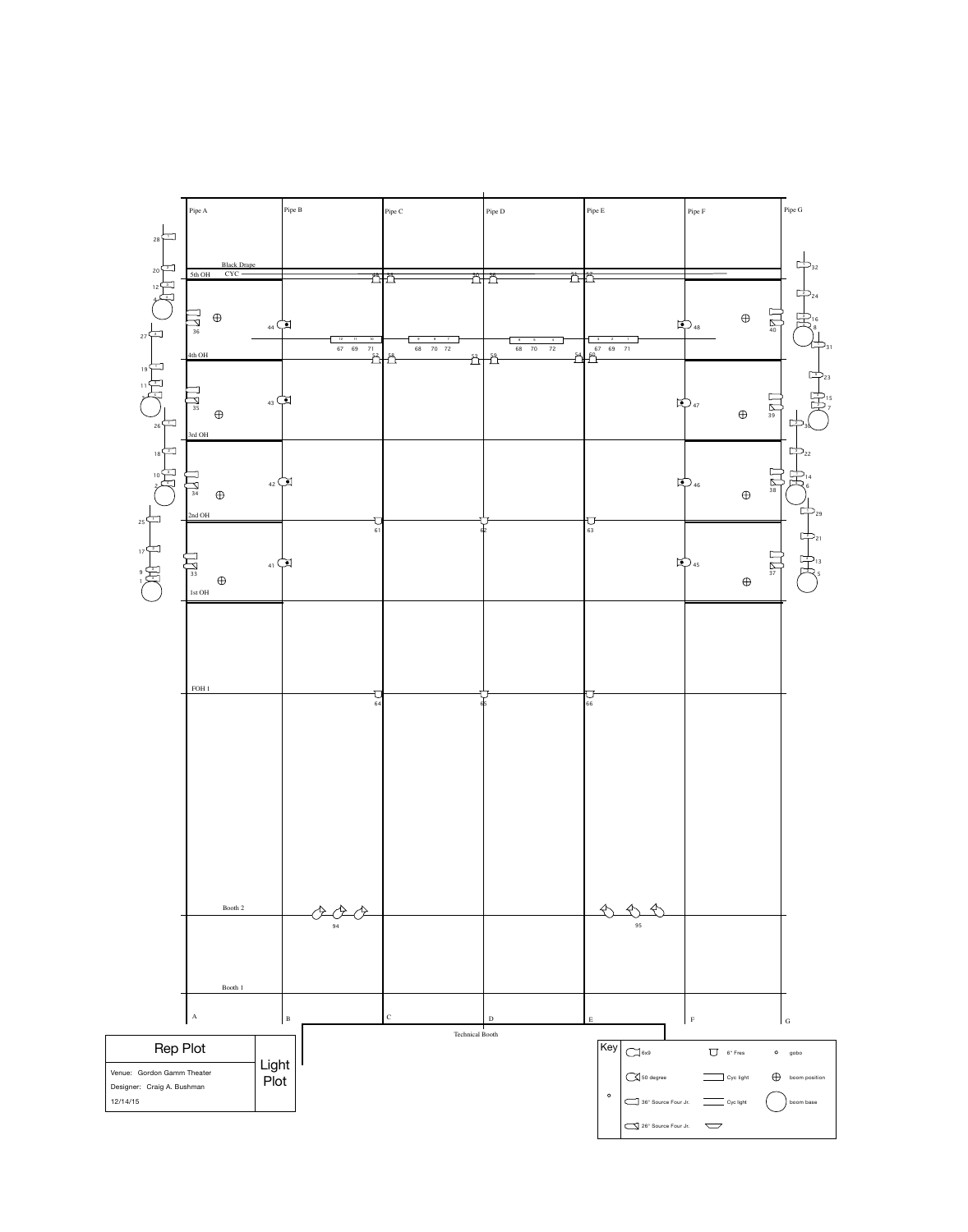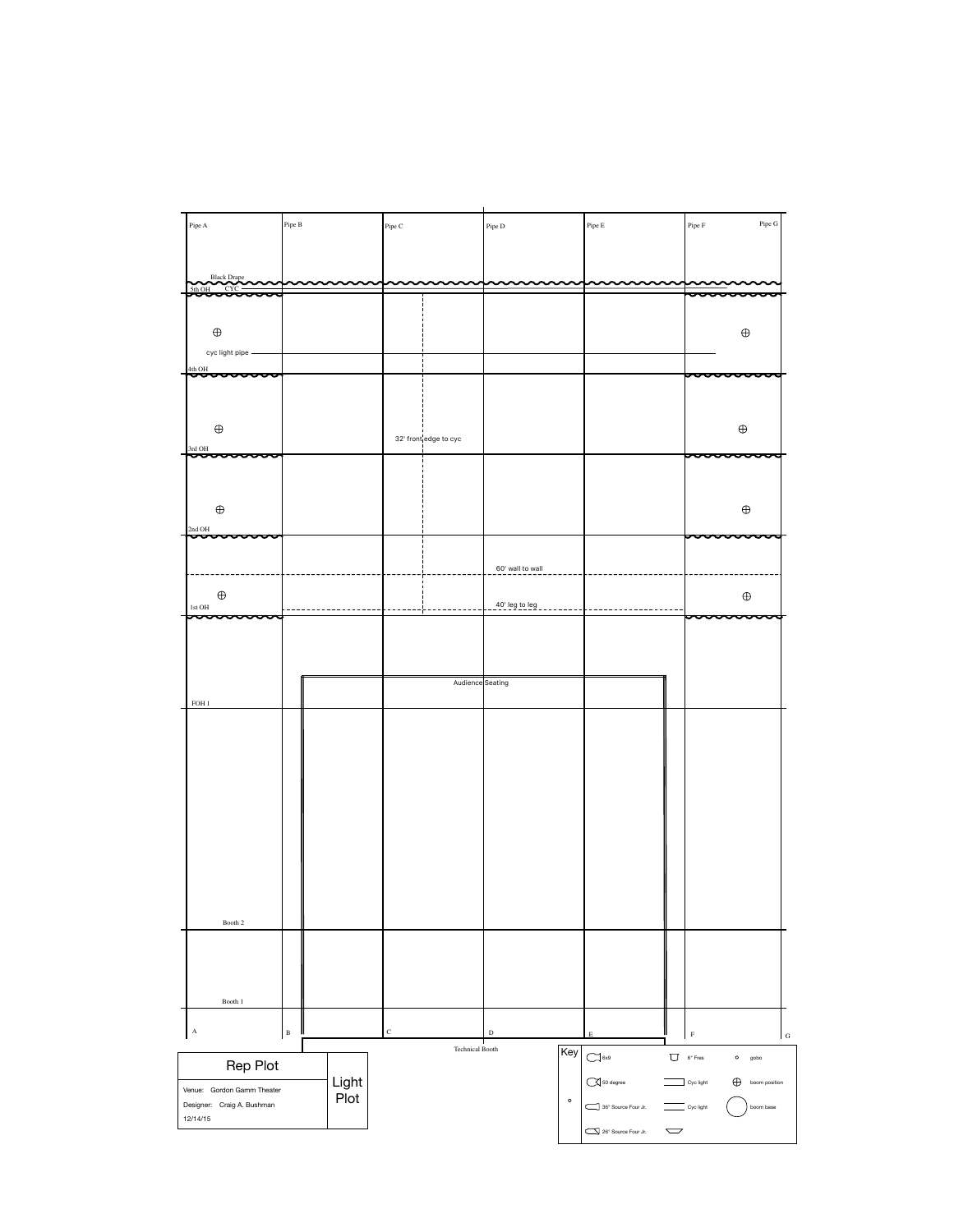| Pipe A                                 | Pipe B | Pipe C                | Pipe D | Pipe E | Pipe G<br>Pipe F  |  |
|----------------------------------------|--------|-----------------------|--------|--------|-------------------|--|
|                                        |        |                       |        |        |                   |  |
| Black Drape                            |        |                       |        |        |                   |  |
| CYC<br>5th OH<br><del>000000000</del>  |        |                       |        |        | U                 |  |
|                                        |        |                       |        |        |                   |  |
|                                        |        |                       |        |        |                   |  |
| $\bigoplus$                            |        |                       |        |        | $\bigoplus$       |  |
| cyc light pipe -                       |        |                       |        |        |                   |  |
|                                        |        |                       |        |        |                   |  |
| $\frac{4\text{th OH}}{20000000}$<br>ul |        |                       |        |        | unur              |  |
|                                        |        |                       |        |        |                   |  |
|                                        |        |                       |        |        |                   |  |
|                                        |        |                       |        |        |                   |  |
| $\bigoplus$                            |        | 32' front edge to cyc |        |        | $\bigoplus$       |  |
| 3rd OH                                 |        |                       |        |        |                   |  |
| ᡡᠥᠣᠣᠦᡡᠣ                                |        |                       |        |        | <del>sooooo</del> |  |
|                                        |        |                       |        |        |                   |  |
|                                        |        |                       |        |        |                   |  |

| $\bigoplus$                       |  |                  |                  |  | $\bigoplus$          |  |
|-----------------------------------|--|------------------|------------------|--|----------------------|--|
| 2nd OH<br><del>hoooooooo</del> oo |  |                  |                  |  | <del>poooooooo</del> |  |
|                                   |  |                  |                  |  |                      |  |
|                                   |  |                  | 60' wall to wall |  |                      |  |
| $\bigoplus$                       |  |                  |                  |  | $\bigoplus$          |  |
| 1st OH<br><del>poooooooo</del>    |  |                  | 40' leg to leg   |  | <del>poooooooo</del> |  |
|                                   |  |                  |                  |  |                      |  |
|                                   |  |                  |                  |  |                      |  |
|                                   |  |                  |                  |  |                      |  |
|                                   |  | Audience Seating |                  |  |                      |  |
| FOH 1                             |  |                  |                  |  |                      |  |
|                                   |  |                  |                  |  |                      |  |
|                                   |  |                  |                  |  |                      |  |
|                                   |  |                  |                  |  |                      |  |
|                                   |  |                  |                  |  |                      |  |
|                                   |  |                  |                  |  |                      |  |
|                                   |  |                  |                  |  |                      |  |
|                                   |  |                  |                  |  |                      |  |
|                                   |  |                  |                  |  |                      |  |
|                                   |  |                  |                  |  |                      |  |
|                                   |  |                  |                  |  |                      |  |
| Booth 2                           |  |                  |                  |  |                      |  |
|                                   |  |                  |                  |  |                      |  |
|                                   |  |                  |                  |  |                      |  |
|                                   |  |                  |                  |  |                      |  |
| Booth 1                           |  |                  |                  |  |                      |  |

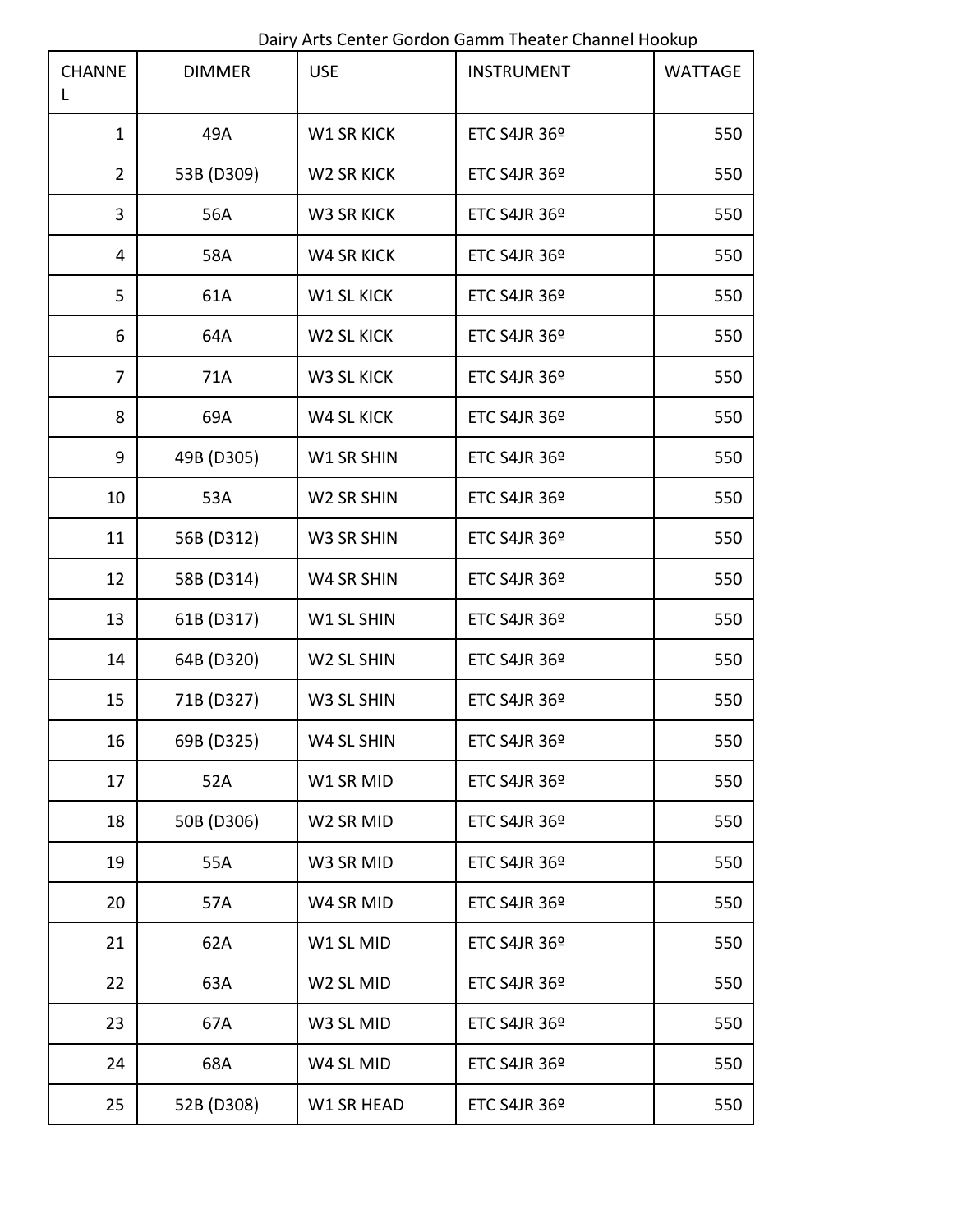Dairy Arts Center Gordon Gamm Theater Channel Hookup

| <b>CHANNE</b>  | <b>DIMMER</b> | <b>USE</b>            | <b>INSTRUMENT</b>        | <b>WATTAGE</b> |
|----------------|---------------|-----------------------|--------------------------|----------------|
| $\mathbf{1}$   | 49A           | <b>W1 SR KICK</b>     | <b>ETC S4JR 36º</b>      | 550            |
| $\overline{2}$ | 53B (D309)    | W2 SR KICK            | ETC S4JR 36 <sup>o</sup> | 550            |
| 3              | 56A           | W3 SR KICK            | ETC S4JR 36 <sup>o</sup> | 550            |
| 4              | 58A           | <b>W4 SR KICK</b>     | ETC S4JR 36 <sup>°</sup> | 550            |
| 5              | 61A           | <b>W1 SL KICK</b>     | ETC S4JR 36 <sup>°</sup> | 550            |
| 6              | 64A           | W2 SL KICK            | ETC S4JR 36 <sup>°</sup> | 550            |
| 7              | 71A           | W3 SL KICK            | ETC S4JR 36 <sup>o</sup> | 550            |
| 8              | 69A           | <b>W4 SL KICK</b>     | ETC S4JR 36 <sup>o</sup> | 550            |
| 9              | 49B (D305)    | W1 SR SHIN            | ETC S4JR 36 <sup>o</sup> | 550            |
| 10             | 53A           | W2 SR SHIN            | ETC S4JR 36 <sup>°</sup> | 550            |
| 11             | 56B (D312)    | W3 SR SHIN            | ETC S4JR 36 <sup>°</sup> | 550            |
| 12             | 58B (D314)    | W4 SR SHIN            | ETC S4JR 36 <sup>o</sup> | 550            |
| 13             | 61B (D317)    | W1 SL SHIN            | ETC S4JR 36 <sup>o</sup> | 550            |
| 14             | 64B (D320)    | W2 SL SHIN            | ETC S4JR 36 <sup>o</sup> | 550            |
| 15             | 71B (D327)    | W3 SL SHIN            | ETC S4JR 36 <sup>°</sup> | 550            |
| 16             | 69B (D325)    | W4 SL SHIN            | ETC S4JR 36 <sup>°</sup> | 550            |
| 17             | 52A           | W1 SR MID             | <b>ETC S4JR 36º</b>      | 550            |
| 18             | 50B (D306)    | W2 SR MID             | ETC S4JR 36 <sup>o</sup> | 550            |
| 19             | 55A           | W3 SR MID             | ETC S4JR 36 <sup>o</sup> | 550            |
| 20             | 57A           | W4 SR MID             | ETC S4JR 36 <sup>°</sup> | 550            |
| 21             | 62A           | W1 SL MID             | ETC S4JR 36 <sup>°</sup> | 550            |
| 22             | 63A           | W <sub>2</sub> SL MID | <b>ETC S4JR 36º</b>      | 550            |
| 23             | 67A           | W3 SL MID             | ETC S4JR 36 <sup>o</sup> | 550            |
| 24             | 68A           | W4 SL MID             | ETC S4JR 36 <sup>°</sup> | 550            |
| 25             | 52B (D308)    | W1 SR HEAD            | ETC S4JR 36 <sup>°</sup> | 550            |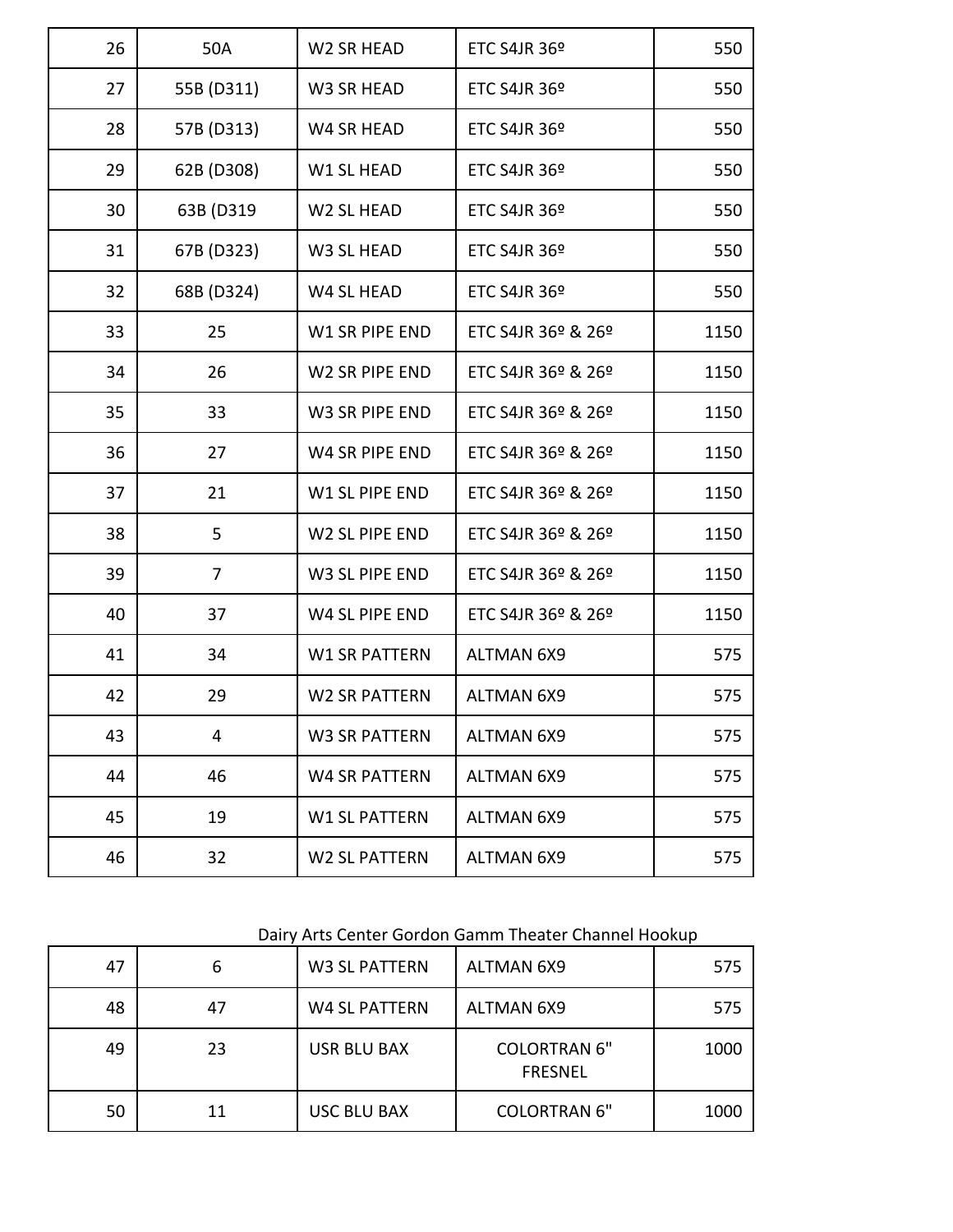| 26 | 50A        | W2 SR HEAD           | ETC S4JR 36 <sup>°</sup>       | 550  |
|----|------------|----------------------|--------------------------------|------|
| 27 | 55B (D311) | W3 SR HEAD           | <b>ETC S4JR 36<sup>°</sup></b> | 550  |
| 28 | 57B (D313) | W4 SR HEAD           | ETC S4JR 36 <sup>°</sup>       | 550  |
| 29 | 62B (D308) | W1 SL HEAD           | ETC S4JR 36 <sup>o</sup>       | 550  |
| 30 | 63B (D319  | W2 SL HEAD           | ETC S4JR 36 <sup>°</sup>       | 550  |
| 31 | 67B (D323) | W3 SL HEAD           | ETC S4JR 36 <sup>°</sup>       | 550  |
| 32 | 68B (D324) | W4 SL HEAD           | ETC S4JR 36 <sup>°</sup>       | 550  |
| 33 | 25         | W1 SR PIPE END       | ETC S4JR 36º & 26º             | 1150 |
| 34 | 26         | W2 SR PIPE END       | ETC S4JR 36º & 26º             | 1150 |
| 35 | 33         | W3 SR PIPE END       | ETC S4JR 36º & 26º             | 1150 |
| 36 | 27         | W4 SR PIPE END       | ETC S4JR 36º & 26º             | 1150 |
| 37 | 21         | W1 SL PIPE END       | ETC S4JR 36º & 26º             | 1150 |
| 38 | 5          | W2 SL PIPE END       | ETC S4JR 36º & 26º             | 1150 |
| 39 | 7          | W3 SL PIPE END       | ETC S4JR 36º & 26º             | 1150 |
| 40 | 37         | W4 SL PIPE END       | ETC S4JR 36º & 26º             | 1150 |
| 41 | 34         | <b>W1 SR PATTERN</b> | <b>ALTMAN 6X9</b>              | 575  |
| 42 | 29         | <b>W2 SR PATTERN</b> | <b>ALTMAN 6X9</b>              | 575  |
| 43 | 4          | <b>W3 SR PATTERN</b> | <b>ALTMAN 6X9</b>              | 575  |
| 44 | 46         | <b>W4 SR PATTERN</b> | <b>ALTMAN 6X9</b>              | 575  |
| 45 | 19         | <b>W1 SL PATTERN</b> | <b>ALTMAN 6X9</b>              | 575  |
| 46 | 32         | <b>W2 SL PATTERN</b> | <b>ALTMAN 6X9</b>              | 575  |
|    |            |                      |                                |      |

## Dairy Arts Center Gordon Gamm Theater Channel Hookup

| 47 | ь  | W3 SL PATTERN        | <b>ALTMAN 6X9</b>                     | 575  |
|----|----|----------------------|---------------------------------------|------|
| 48 | 47 | <b>W4 SL PATTERN</b> | <b>ALTMAN 6X9</b>                     | 575  |
| 49 | 23 | <b>USR BLU BAX</b>   | <b>COLORTRAN 6"</b><br><b>FRESNEL</b> | 1000 |
| 50 | 11 | <b>USC BLU BAX</b>   | <b>COLORTRAN 6"</b>                   | 1000 |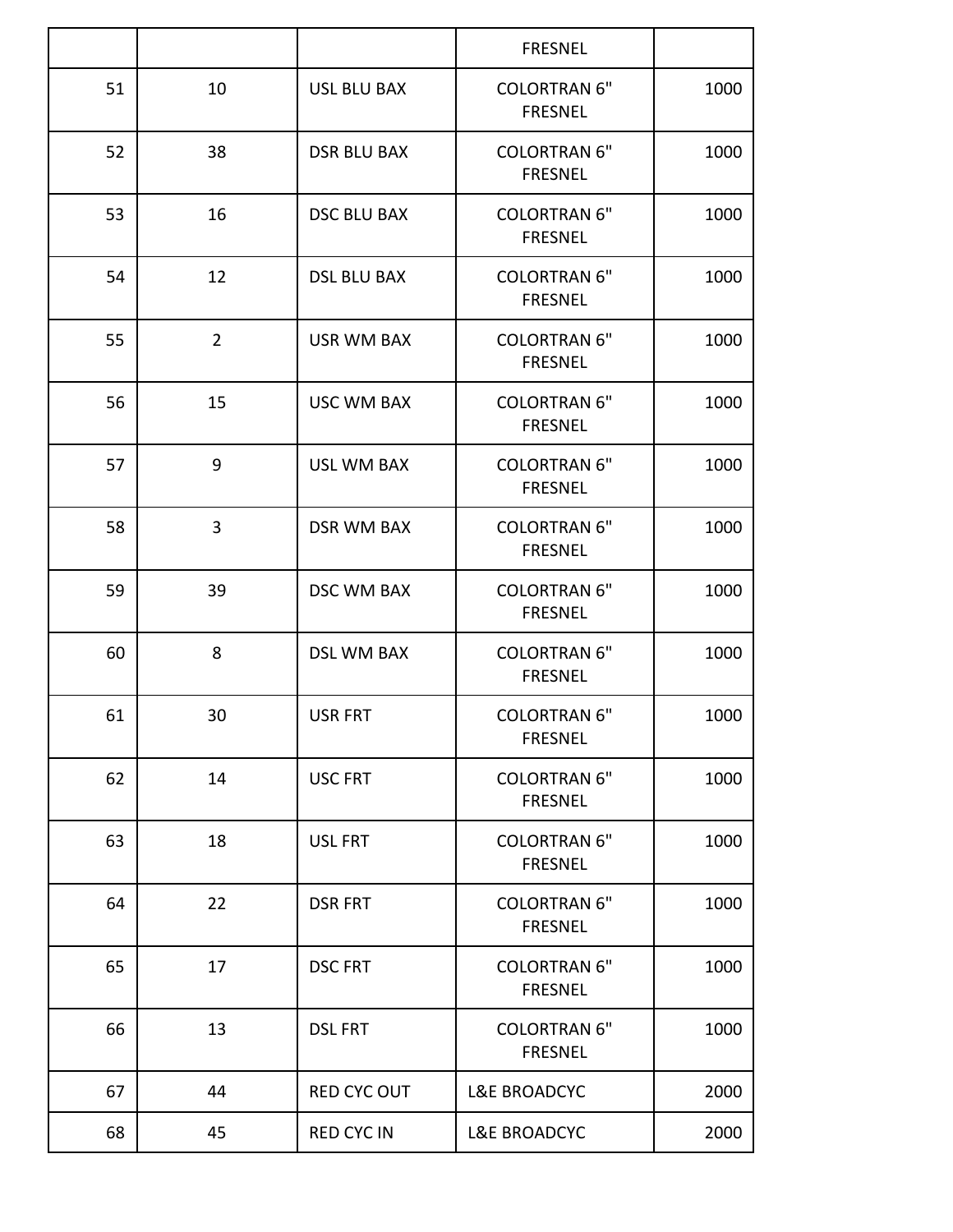|    |                |                    | <b>FRESNEL</b>                        |      |
|----|----------------|--------------------|---------------------------------------|------|
| 51 | 10             | <b>USL BLU BAX</b> | <b>COLORTRAN 6"</b><br><b>FRESNEL</b> | 1000 |
| 52 | 38             | <b>DSR BLU BAX</b> | <b>COLORTRAN 6"</b><br><b>FRESNEL</b> | 1000 |
| 53 | 16             | <b>DSC BLU BAX</b> | <b>COLORTRAN 6"</b><br><b>FRESNEL</b> | 1000 |
| 54 | 12             | <b>DSL BLU BAX</b> | <b>COLORTRAN 6"</b><br><b>FRESNEL</b> | 1000 |
| 55 | $\overline{2}$ | <b>USR WM BAX</b>  | <b>COLORTRAN 6"</b><br><b>FRESNEL</b> | 1000 |
| 56 | 15             | <b>USC WM BAX</b>  | <b>COLORTRAN 6"</b><br><b>FRESNEL</b> | 1000 |
| 57 | 9              | <b>USL WM BAX</b>  | <b>COLORTRAN 6"</b><br><b>FRESNEL</b> | 1000 |
| 58 | 3              | <b>DSR WM BAX</b>  | <b>COLORTRAN 6"</b><br><b>FRESNEL</b> | 1000 |
| 59 | 39             | <b>DSC WM BAX</b>  | <b>COLORTRAN 6"</b><br><b>FRESNEL</b> | 1000 |
| 60 | 8              | <b>DSL WM BAX</b>  | <b>COLORTRAN 6"</b><br><b>FRESNEL</b> | 1000 |
| 61 | 30             | <b>USR FRT</b>     | <b>COLORTRAN 6"</b><br><b>FRESNEL</b> | 1000 |
| 62 | 14             | <b>USC FRT</b>     | <b>COLORTRAN 6"</b><br><b>FRESNEL</b> | 1000 |
| 63 | 18             | USL FRT            | <b>COLORTRAN 6"</b><br><b>FRESNEL</b> | 1000 |
| 64 | 22             | <b>DSR FRT</b>     | <b>COLORTRAN 6"</b><br><b>FRESNEL</b> | 1000 |
| 65 | 17             | <b>DSC FRT</b>     | <b>COLORTRAN 6"</b><br><b>FRESNEL</b> | 1000 |
| 66 | 13             | <b>DSL FRT</b>     | <b>COLORTRAN 6"</b><br><b>FRESNEL</b> | 1000 |
| 67 | 44             | <b>RED CYC OUT</b> | <b>L&amp;E BROADCYC</b>               | 2000 |
| 68 | 45             | <b>RED CYC IN</b>  | <b>L&amp;E BROADCYC</b>               | 2000 |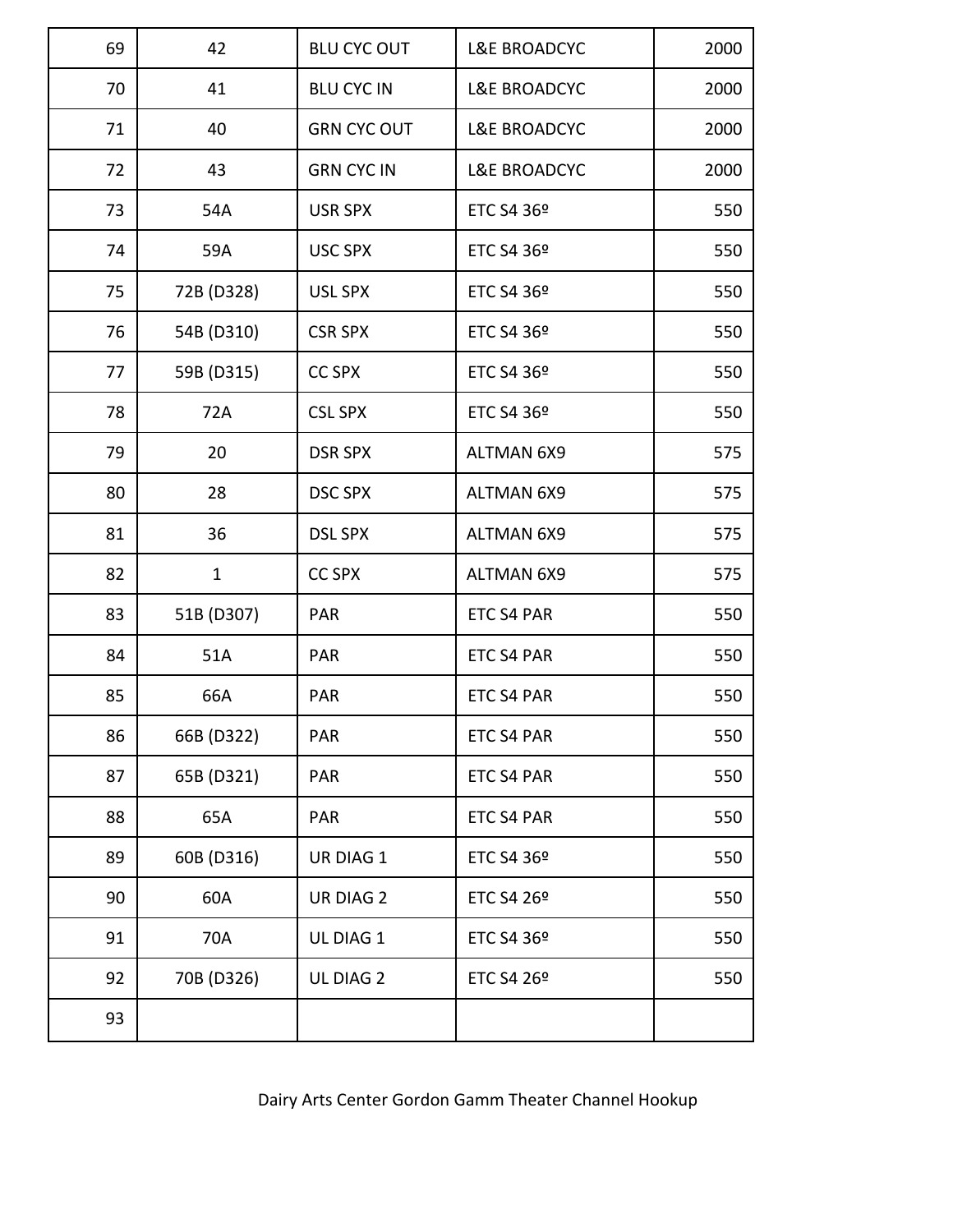| 69 | 42           | <b>BLU CYC OUT</b> | <b>L&amp;E BROADCYC</b> | 2000 |
|----|--------------|--------------------|-------------------------|------|
| 70 | 41           | <b>BLU CYC IN</b>  | <b>L&amp;E BROADCYC</b> | 2000 |
| 71 | 40           | <b>GRN CYC OUT</b> | <b>L&amp;E BROADCYC</b> | 2000 |
| 72 | 43           | <b>GRN CYC IN</b>  | <b>L&amp;E BROADCYC</b> | 2000 |
| 73 | 54A          | <b>USR SPX</b>     | ETC S4 36 <sup>o</sup>  | 550  |
| 74 | 59A          | <b>USC SPX</b>     | ETC S4 36 <sup>o</sup>  | 550  |
| 75 | 72B (D328)   | <b>USL SPX</b>     | ETC S4 36 <sup>o</sup>  | 550  |
| 76 | 54B (D310)   | <b>CSR SPX</b>     | ETC S4 36 <sup>°</sup>  | 550  |
| 77 | 59B (D315)   | <b>CC SPX</b>      | ETC S4 36 <sup>°</sup>  | 550  |
| 78 | 72A          | <b>CSL SPX</b>     | ETC S4 36 <sup>o</sup>  | 550  |
| 79 | 20           | <b>DSR SPX</b>     | <b>ALTMAN 6X9</b>       | 575  |
| 80 | 28           | <b>DSC SPX</b>     | <b>ALTMAN 6X9</b>       | 575  |
| 81 | 36           | <b>DSL SPX</b>     | <b>ALTMAN 6X9</b>       | 575  |
| 82 | $\mathbf{1}$ | <b>CC SPX</b>      | <b>ALTMAN 6X9</b>       | 575  |
| 83 | 51B (D307)   | PAR                | ETC S4 PAR              | 550  |
| 84 | 51A          | <b>PAR</b>         | ETC S4 PAR              | 550  |
| 85 | 66A          | PAR                | <b>ETC S4 PAR</b>       | 550  |
| 86 | 66B (D322)   | <b>PAR</b>         | ETC S4 PAR              | 550  |
| 87 | 65B (D321)   | <b>PAR</b>         | ETC S4 PAR              | 550  |
| 88 | 65A          | <b>PAR</b>         | ETC S4 PAR              | 550  |
| 89 | 60B (D316)   | UR DIAG 1          | ETC S4 36 <sup>o</sup>  | 550  |
| 90 | 60A          | <b>UR DIAG 2</b>   | ETC S4 26 <sup>°</sup>  | 550  |
| 91 | 70A          | UL DIAG 1          | ETC S4 36 <sup>o</sup>  | 550  |
| 92 | 70B (D326)   | UL DIAG 2          | ETC S4 26 <sup>o</sup>  | 550  |
| 93 |              |                    |                         |      |

Dairy Arts Center Gordon Gamm Theater Channel Hookup